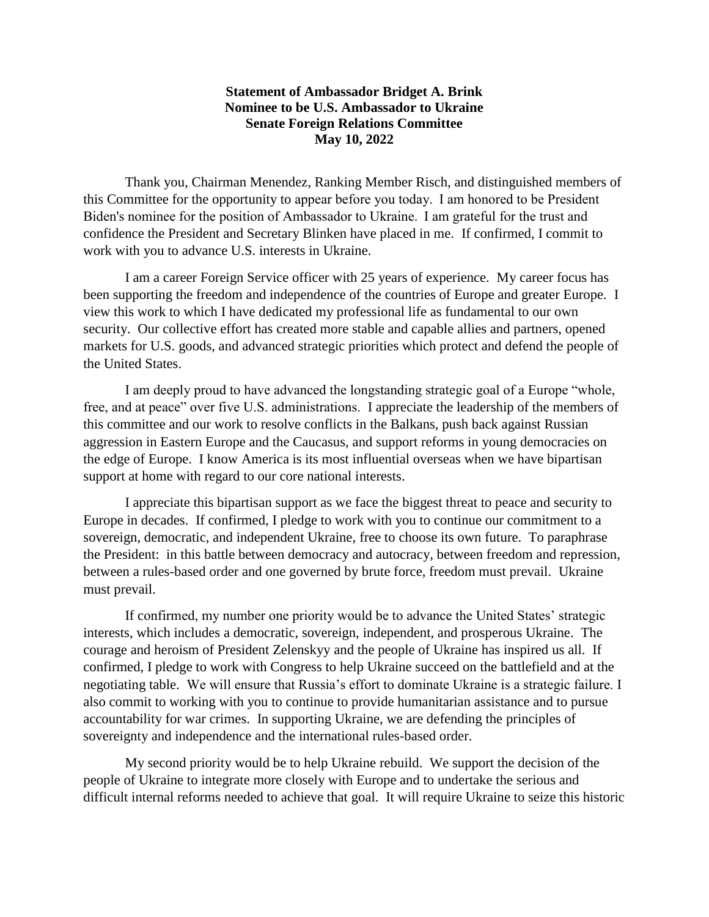## **Statement of Ambassador Bridget A. Brink Nominee to be U.S. Ambassador to Ukraine Senate Foreign Relations Committee May 10, 2022**

Thank you, Chairman Menendez, Ranking Member Risch, and distinguished members of this Committee for the opportunity to appear before you today.  I am honored to be President Biden's nominee for the position of Ambassador to Ukraine.  I am grateful for the trust and confidence the President and Secretary Blinken have placed in me. If confirmed, I commit to work with you to advance U.S. interests in Ukraine.

I am a career Foreign Service officer with 25 years of experience. My career focus has been supporting the freedom and independence of the countries of Europe and greater Europe. I view this work to which I have dedicated my professional life as fundamental to our own security. Our collective effort has created more stable and capable allies and partners, opened markets for U.S. goods, and advanced strategic priorities which protect and defend the people of the United States.

I am deeply proud to have advanced the longstanding strategic goal of a Europe "whole, free, and at peace" over five U.S. administrations. I appreciate the leadership of the members of this committee and our work to resolve conflicts in the Balkans, push back against Russian aggression in Eastern Europe and the Caucasus, and support reforms in young democracies on the edge of Europe. I know America is its most influential overseas when we have bipartisan support at home with regard to our core national interests.

I appreciate this bipartisan support as we face the biggest threat to peace and security to Europe in decades. If confirmed, I pledge to work with you to continue our commitment to a sovereign, democratic, and independent Ukraine, free to choose its own future. To paraphrase the President: in this battle between democracy and autocracy, between freedom and repression, between a rules-based order and one governed by brute force, freedom must prevail. Ukraine must prevail.

If confirmed, my number one priority would be to advance the United States' strategic interests, which includes a democratic, sovereign, independent, and prosperous Ukraine. The courage and heroism of President Zelenskyy and the people of Ukraine has inspired us all. If confirmed, I pledge to work with Congress to help Ukraine succeed on the battlefield and at the negotiating table. We will ensure that Russia's effort to dominate Ukraine is a strategic failure. I also commit to working with you to continue to provide humanitarian assistance and to pursue accountability for war crimes. In supporting Ukraine, we are defending the principles of sovereignty and independence and the international rules-based order.

My second priority would be to help Ukraine rebuild. We support the decision of the people of Ukraine to integrate more closely with Europe and to undertake the serious and difficult internal reforms needed to achieve that goal. It will require Ukraine to seize this historic